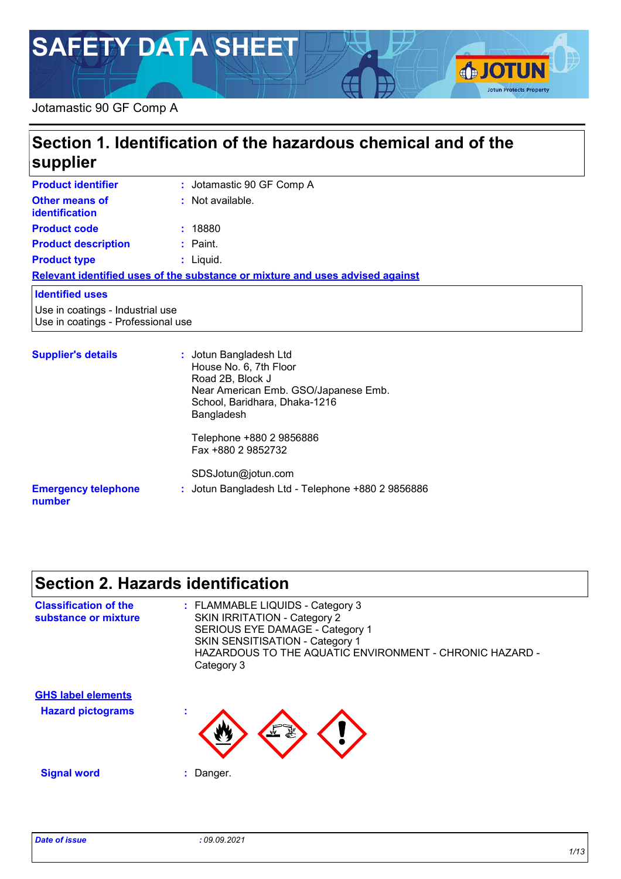# **SAFETY DATA SHEET**

#### Jotamastic 90 GF Comp A

#### $\overline{\phantom{a}}$ **Product identifier Section 1. Identification of the hazardous chemical and of the supplier :**

| Product Identifier                                                     | <b>U</b> JOI CHESTIC SU OF COMP A                                                                                                                           |
|------------------------------------------------------------------------|-------------------------------------------------------------------------------------------------------------------------------------------------------------|
| <b>Other means of</b><br><b>identification</b>                         | : Not available.                                                                                                                                            |
| <b>Product code</b>                                                    | : 18880                                                                                                                                                     |
| <b>Product description</b>                                             | $:$ Paint.                                                                                                                                                  |
| <b>Product type</b>                                                    | $:$ Liquid.                                                                                                                                                 |
|                                                                        | Relevant identified uses of the substance or mixture and uses advised against                                                                               |
| <b>Identified uses</b>                                                 |                                                                                                                                                             |
| Use in coatings - Industrial use<br>Use in coatings - Professional use |                                                                                                                                                             |
| <b>Supplier's details</b>                                              | : Jotun Bangladesh Ltd<br>House No. 6, 7th Floor<br>Road 2B, Block J<br>Near American Emb. GSO/Japanese Emb.<br>School, Baridhara, Dhaka-1216<br>Bangladesh |

**Emergency telephone number :** Jotun Bangladesh Ltd - Telephone +880 2 9856886 Telephone +880 2 9856886 Fax +880 2 9852732 SDSJotun@jotun.com

# **Section 2. Hazards identification**

| <b>Classification of the</b><br>substance or mixture | : FLAMMABLE LIQUIDS - Category 3<br><b>SKIN IRRITATION - Category 2</b><br>SERIOUS EYE DAMAGE - Category 1<br>SKIN SENSITISATION - Category 1<br>HAZARDOUS TO THE AQUATIC ENVIRONMENT - CHRONIC HAZARD -<br>Category 3 |
|------------------------------------------------------|------------------------------------------------------------------------------------------------------------------------------------------------------------------------------------------------------------------------|
| <b>GHS label elements</b>                            |                                                                                                                                                                                                                        |
| <b>Hazard pictograms</b>                             | ٠                                                                                                                                                                                                                      |
| <b>Signal word</b>                                   | Danger.                                                                                                                                                                                                                |

**SJOTUN** 

**Jotun Protects Property**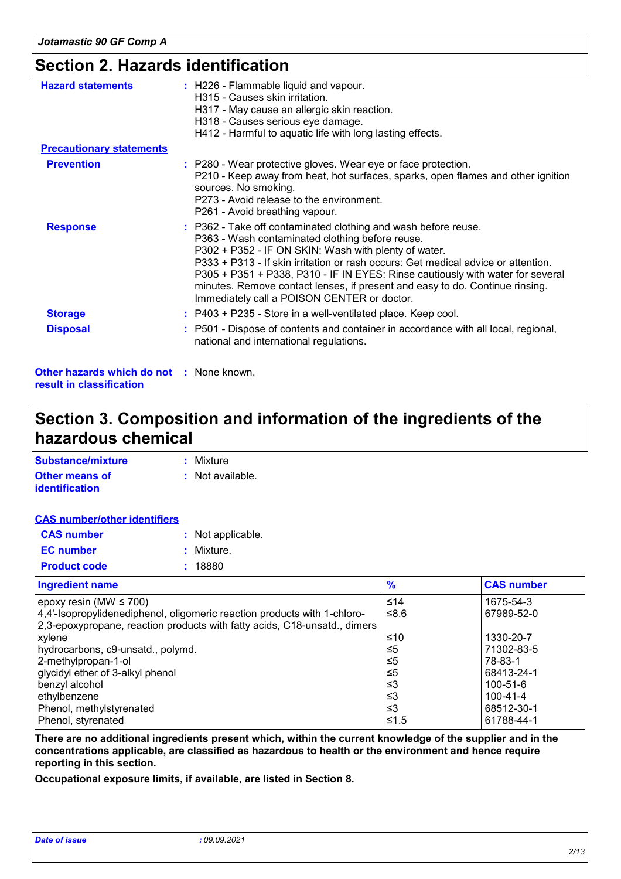### **Section 2. Hazards identification**

| <b>Hazard statements</b>                                                    | : H226 - Flammable liquid and vapour.<br>H315 - Causes skin irritation.<br>H317 - May cause an allergic skin reaction.<br>H318 - Causes serious eye damage.<br>H412 - Harmful to aquatic life with long lasting effects.                                                                                                                                                                                                                                                        |
|-----------------------------------------------------------------------------|---------------------------------------------------------------------------------------------------------------------------------------------------------------------------------------------------------------------------------------------------------------------------------------------------------------------------------------------------------------------------------------------------------------------------------------------------------------------------------|
| <b>Precautionary statements</b>                                             |                                                                                                                                                                                                                                                                                                                                                                                                                                                                                 |
| <b>Prevention</b>                                                           | : P280 - Wear protective gloves. Wear eye or face protection.<br>P210 - Keep away from heat, hot surfaces, sparks, open flames and other ignition<br>sources. No smoking.<br>P273 - Avoid release to the environment.<br>P261 - Avoid breathing vapour.                                                                                                                                                                                                                         |
| <b>Response</b>                                                             | : P362 - Take off contaminated clothing and wash before reuse.<br>P363 - Wash contaminated clothing before reuse.<br>P302 + P352 - IF ON SKIN: Wash with plenty of water.<br>P333 + P313 - If skin irritation or rash occurs: Get medical advice or attention.<br>P305 + P351 + P338, P310 - IF IN EYES: Rinse cautiously with water for several<br>minutes. Remove contact lenses, if present and easy to do. Continue rinsing.<br>Immediately call a POISON CENTER or doctor. |
| <b>Storage</b>                                                              | : P403 + P235 - Store in a well-ventilated place. Keep cool.                                                                                                                                                                                                                                                                                                                                                                                                                    |
| <b>Disposal</b>                                                             | : P501 - Dispose of contents and container in accordance with all local, regional,<br>national and international regulations.                                                                                                                                                                                                                                                                                                                                                   |
| <b>Other hazards which do not : None known.</b><br>result in classification |                                                                                                                                                                                                                                                                                                                                                                                                                                                                                 |

### **Section 3. Composition and information of the ingredients of the hazardous chemical**

| Substance/mixture     | : Mixture        |
|-----------------------|------------------|
| <b>Other means of</b> | : Not available. |
| <i>identification</i> |                  |

#### **CAS number/other identifiers**

| <b>CAS number</b>   | : Not applicable. |
|---------------------|-------------------|
| <b>EC</b> number    | : Mixture.        |
| <b>Product code</b> | : 18880           |

| <b>Ingredient name</b>                                                    | $\frac{9}{6}$ | <b>CAS number</b> |
|---------------------------------------------------------------------------|---------------|-------------------|
| epoxy resin (MW $\leq 700$ )                                              | ≤14           | 1675-54-3         |
| 4,4'-Isopropylidenediphenol, oligomeric reaction products with 1-chloro-  | ≤ $8.6$       | 67989-52-0        |
| 2,3-epoxypropane, reaction products with fatty acids, C18-unsatd., dimers |               |                   |
| xylene                                                                    | ≤10           | 1330-20-7         |
| hydrocarbons, c9-unsatd., polymd.                                         | ≤5            | 71302-83-5        |
| 2-methylpropan-1-ol                                                       | ≤5            | 78-83-1           |
| glycidyl ether of 3-alkyl phenol                                          | ≤5            | 68413-24-1        |
| benzyl alcohol                                                            | ≤3            | 100-51-6          |
| ethylbenzene                                                              | ≤3            | 100-41-4          |
| Phenol, methylstyrenated                                                  | $\leq$ 3      | 68512-30-1        |
| Phenol, styrenated                                                        | $≤1.5$        | 61788-44-1        |

**There are no additional ingredients present which, within the current knowledge of the supplier and in the concentrations applicable, are classified as hazardous to health or the environment and hence require reporting in this section.**

**Occupational exposure limits, if available, are listed in Section 8.**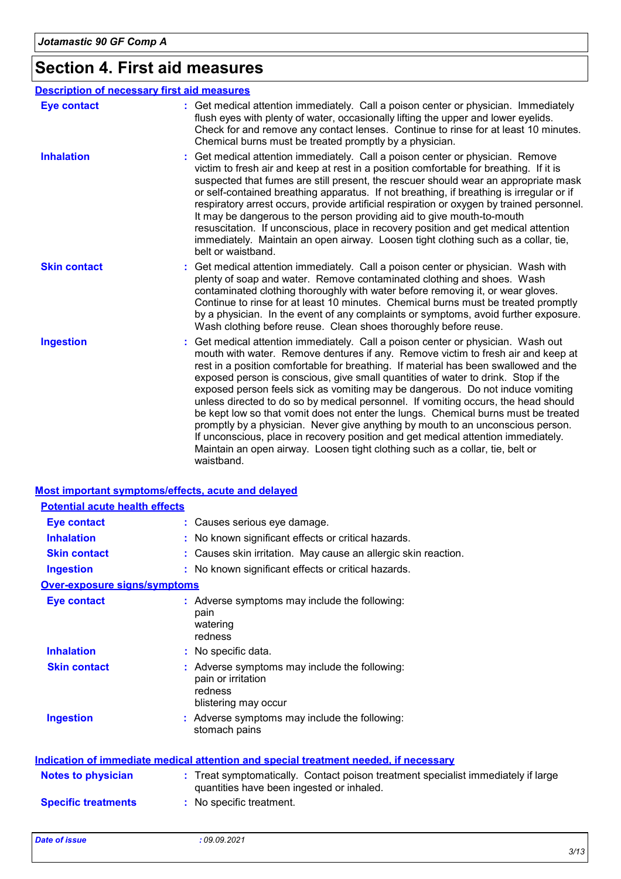# **Section 4. First aid measures**

|                     | <b>Description of necessary first aid measures</b>                                                                                                                                                                                                                                                                                                                                                                                                                                                                                                                                                                                                                                                                                                                                                                                                                                   |
|---------------------|--------------------------------------------------------------------------------------------------------------------------------------------------------------------------------------------------------------------------------------------------------------------------------------------------------------------------------------------------------------------------------------------------------------------------------------------------------------------------------------------------------------------------------------------------------------------------------------------------------------------------------------------------------------------------------------------------------------------------------------------------------------------------------------------------------------------------------------------------------------------------------------|
| <b>Eye contact</b>  | : Get medical attention immediately. Call a poison center or physician. Immediately<br>flush eyes with plenty of water, occasionally lifting the upper and lower eyelids.<br>Check for and remove any contact lenses. Continue to rinse for at least 10 minutes.<br>Chemical burns must be treated promptly by a physician.                                                                                                                                                                                                                                                                                                                                                                                                                                                                                                                                                          |
| <b>Inhalation</b>   | Get medical attention immediately. Call a poison center or physician. Remove<br>victim to fresh air and keep at rest in a position comfortable for breathing. If it is<br>suspected that fumes are still present, the rescuer should wear an appropriate mask<br>or self-contained breathing apparatus. If not breathing, if breathing is irregular or if<br>respiratory arrest occurs, provide artificial respiration or oxygen by trained personnel.<br>It may be dangerous to the person providing aid to give mouth-to-mouth<br>resuscitation. If unconscious, place in recovery position and get medical attention<br>immediately. Maintain an open airway. Loosen tight clothing such as a collar, tie,<br>belt or waistband.                                                                                                                                                  |
| <b>Skin contact</b> | Get medical attention immediately. Call a poison center or physician. Wash with<br>plenty of soap and water. Remove contaminated clothing and shoes. Wash<br>contaminated clothing thoroughly with water before removing it, or wear gloves.<br>Continue to rinse for at least 10 minutes. Chemical burns must be treated promptly<br>by a physician. In the event of any complaints or symptoms, avoid further exposure.<br>Wash clothing before reuse. Clean shoes thoroughly before reuse.                                                                                                                                                                                                                                                                                                                                                                                        |
| <b>Ingestion</b>    | Get medical attention immediately. Call a poison center or physician. Wash out<br>mouth with water. Remove dentures if any. Remove victim to fresh air and keep at<br>rest in a position comfortable for breathing. If material has been swallowed and the<br>exposed person is conscious, give small quantities of water to drink. Stop if the<br>exposed person feels sick as vomiting may be dangerous. Do not induce vomiting<br>unless directed to do so by medical personnel. If vomiting occurs, the head should<br>be kept low so that vomit does not enter the lungs. Chemical burns must be treated<br>promptly by a physician. Never give anything by mouth to an unconscious person.<br>If unconscious, place in recovery position and get medical attention immediately.<br>Maintain an open airway. Loosen tight clothing such as a collar, tie, belt or<br>waistband. |

#### **Most important symptoms/effects, acute and delayed**

| <b>Potential acute health effects</b> |                                                                                                                                |
|---------------------------------------|--------------------------------------------------------------------------------------------------------------------------------|
| <b>Eye contact</b>                    | : Causes serious eye damage.                                                                                                   |
| <b>Inhalation</b>                     | No known significant effects or critical hazards.                                                                              |
| <b>Skin contact</b>                   | : Causes skin irritation. May cause an allergic skin reaction.                                                                 |
| <b>Ingestion</b>                      | : No known significant effects or critical hazards.                                                                            |
| <b>Over-exposure signs/symptoms</b>   |                                                                                                                                |
| <b>Eye contact</b>                    | : Adverse symptoms may include the following:<br>pain<br>watering<br>redness                                                   |
| <b>Inhalation</b>                     | : No specific data.                                                                                                            |
| <b>Skin contact</b>                   | : Adverse symptoms may include the following:<br>pain or irritation<br>redness<br>blistering may occur                         |
| <b>Ingestion</b>                      | Adverse symptoms may include the following:<br>stomach pains                                                                   |
|                                       | <b>Indication of immediate medical attention and special treatment needed, if necessary</b>                                    |
| <b>Notes to physician</b>             | : Treat symptomatically. Contact poison treatment specialist immediately if large<br>quantities have been ingested or inhaled. |
| <b>Specific treatments</b>            | : No specific treatment.                                                                                                       |
| <b>Date of issue</b>                  | :09.09.2021                                                                                                                    |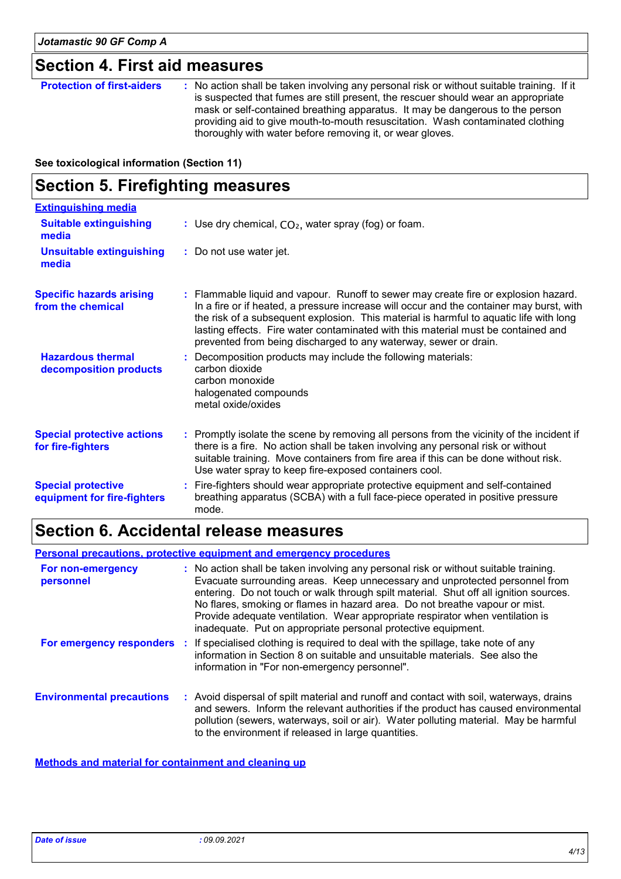## **Section 4. First aid measures**

| <b>Protection of first-aiders</b> | : No action shall be taken involving any personal risk or without suitable training. If it<br>is suspected that fumes are still present, the rescuer should wear an appropriate<br>mask or self-contained breathing apparatus. It may be dangerous to the person<br>providing aid to give mouth-to-mouth resuscitation. Wash contaminated clothing<br>thoroughly with water before removing it, or wear gloves. |
|-----------------------------------|-----------------------------------------------------------------------------------------------------------------------------------------------------------------------------------------------------------------------------------------------------------------------------------------------------------------------------------------------------------------------------------------------------------------|
|-----------------------------------|-----------------------------------------------------------------------------------------------------------------------------------------------------------------------------------------------------------------------------------------------------------------------------------------------------------------------------------------------------------------------------------------------------------------|

**See toxicological information (Section 11)**

### **Section 5. Firefighting measures**

| <b>Extinguishing media</b>                               |                                                                                                                                                                                                                                                                                                                                                                                                                                    |
|----------------------------------------------------------|------------------------------------------------------------------------------------------------------------------------------------------------------------------------------------------------------------------------------------------------------------------------------------------------------------------------------------------------------------------------------------------------------------------------------------|
| <b>Suitable extinguishing</b><br>media                   | : Use dry chemical, $CO2$ , water spray (fog) or foam.                                                                                                                                                                                                                                                                                                                                                                             |
| <b>Unsuitable extinguishing</b><br>media                 | : Do not use water jet.                                                                                                                                                                                                                                                                                                                                                                                                            |
| <b>Specific hazards arising</b><br>from the chemical     | : Flammable liquid and vapour. Runoff to sewer may create fire or explosion hazard.<br>In a fire or if heated, a pressure increase will occur and the container may burst, with<br>the risk of a subsequent explosion. This material is harmful to aquatic life with long<br>lasting effects. Fire water contaminated with this material must be contained and<br>prevented from being discharged to any waterway, sewer or drain. |
| <b>Hazardous thermal</b><br>decomposition products       | : Decomposition products may include the following materials:<br>carbon dioxide<br>carbon monoxide<br>halogenated compounds<br>metal oxide/oxides                                                                                                                                                                                                                                                                                  |
| <b>Special protective actions</b><br>for fire-fighters   | : Promptly isolate the scene by removing all persons from the vicinity of the incident if<br>there is a fire. No action shall be taken involving any personal risk or without<br>suitable training. Move containers from fire area if this can be done without risk.<br>Use water spray to keep fire-exposed containers cool.                                                                                                      |
| <b>Special protective</b><br>equipment for fire-fighters | : Fire-fighters should wear appropriate protective equipment and self-contained<br>breathing apparatus (SCBA) with a full face-piece operated in positive pressure<br>mode.                                                                                                                                                                                                                                                        |

# **Section 6. Accidental release measures**

**Personal precautions, protective equipment and emergency procedures**

| For non-emergency<br>personnel   | : No action shall be taken involving any personal risk or without suitable training.<br>Evacuate surrounding areas. Keep unnecessary and unprotected personnel from<br>entering. Do not touch or walk through spilt material. Shut off all ignition sources.<br>No flares, smoking or flames in hazard area. Do not breathe vapour or mist.<br>Provide adequate ventilation. Wear appropriate respirator when ventilation is<br>inadequate. Put on appropriate personal protective equipment. |
|----------------------------------|-----------------------------------------------------------------------------------------------------------------------------------------------------------------------------------------------------------------------------------------------------------------------------------------------------------------------------------------------------------------------------------------------------------------------------------------------------------------------------------------------|
|                                  | <b>For emergency responders</b> : If specialised clothing is required to deal with the spillage, take note of any<br>information in Section 8 on suitable and unsuitable materials. See also the<br>information in "For non-emergency personnel".                                                                                                                                                                                                                                             |
| <b>Environmental precautions</b> | : Avoid dispersal of spilt material and runoff and contact with soil, waterways, drains<br>and sewers. Inform the relevant authorities if the product has caused environmental<br>pollution (sewers, waterways, soil or air). Water polluting material. May be harmful<br>to the environment if released in large quantities.                                                                                                                                                                 |

**Methods and material for containment and cleaning up**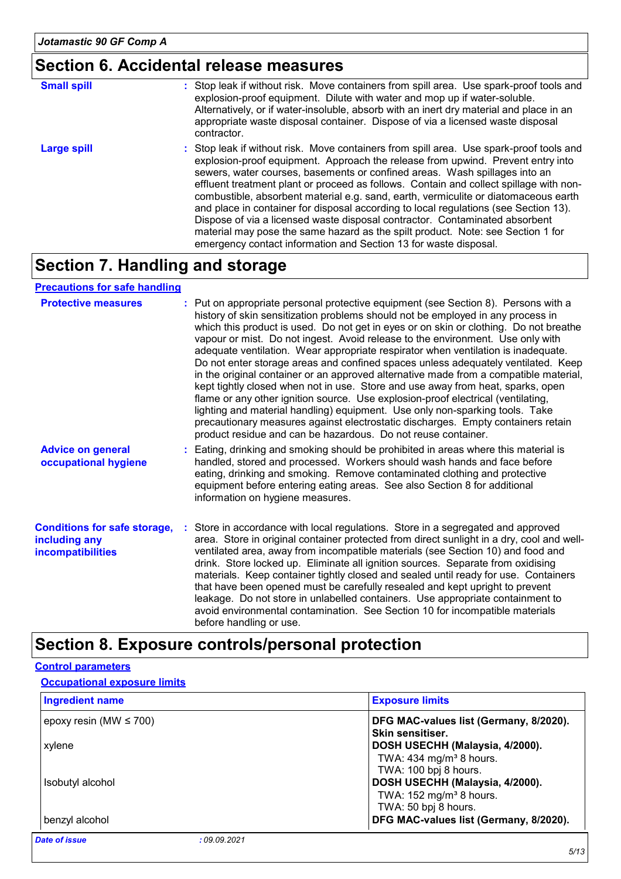## **Section 6. Accidental release measures**

| <b>Small spill</b> | : Stop leak if without risk. Move containers from spill area. Use spark-proof tools and<br>explosion-proof equipment. Dilute with water and mop up if water-soluble.<br>Alternatively, or if water-insoluble, absorb with an inert dry material and place in an<br>appropriate waste disposal container. Dispose of via a licensed waste disposal<br>contractor.                                                                                                                                                                                                                                                                                                                                                                                                        |
|--------------------|-------------------------------------------------------------------------------------------------------------------------------------------------------------------------------------------------------------------------------------------------------------------------------------------------------------------------------------------------------------------------------------------------------------------------------------------------------------------------------------------------------------------------------------------------------------------------------------------------------------------------------------------------------------------------------------------------------------------------------------------------------------------------|
| <b>Large spill</b> | : Stop leak if without risk. Move containers from spill area. Use spark-proof tools and<br>explosion-proof equipment. Approach the release from upwind. Prevent entry into<br>sewers, water courses, basements or confined areas. Wash spillages into an<br>effluent treatment plant or proceed as follows. Contain and collect spillage with non-<br>combustible, absorbent material e.g. sand, earth, vermiculite or diatomaceous earth<br>and place in container for disposal according to local regulations (see Section 13).<br>Dispose of via a licensed waste disposal contractor. Contaminated absorbent<br>material may pose the same hazard as the spilt product. Note: see Section 1 for<br>emergency contact information and Section 13 for waste disposal. |

### **Section 7. Handling and storage**

#### **Precautions for safe handling**

| <b>Protective measures</b>                                                       | : Put on appropriate personal protective equipment (see Section 8). Persons with a<br>history of skin sensitization problems should not be employed in any process in<br>which this product is used. Do not get in eyes or on skin or clothing. Do not breathe<br>vapour or mist. Do not ingest. Avoid release to the environment. Use only with<br>adequate ventilation. Wear appropriate respirator when ventilation is inadequate.<br>Do not enter storage areas and confined spaces unless adequately ventilated. Keep<br>in the original container or an approved alternative made from a compatible material,<br>kept tightly closed when not in use. Store and use away from heat, sparks, open<br>flame or any other ignition source. Use explosion-proof electrical (ventilating,<br>lighting and material handling) equipment. Use only non-sparking tools. Take<br>precautionary measures against electrostatic discharges. Empty containers retain<br>product residue and can be hazardous. Do not reuse container. |
|----------------------------------------------------------------------------------|---------------------------------------------------------------------------------------------------------------------------------------------------------------------------------------------------------------------------------------------------------------------------------------------------------------------------------------------------------------------------------------------------------------------------------------------------------------------------------------------------------------------------------------------------------------------------------------------------------------------------------------------------------------------------------------------------------------------------------------------------------------------------------------------------------------------------------------------------------------------------------------------------------------------------------------------------------------------------------------------------------------------------------|
| <b>Advice on general</b><br>occupational hygiene                                 | : Eating, drinking and smoking should be prohibited in areas where this material is<br>handled, stored and processed. Workers should wash hands and face before<br>eating, drinking and smoking. Remove contaminated clothing and protective<br>equipment before entering eating areas. See also Section 8 for additional<br>information on hygiene measures.                                                                                                                                                                                                                                                                                                                                                                                                                                                                                                                                                                                                                                                                   |
| <b>Conditions for safe storage,</b><br>including any<br><b>incompatibilities</b> | : Store in accordance with local regulations. Store in a segregated and approved<br>area. Store in original container protected from direct sunlight in a dry, cool and well-<br>ventilated area, away from incompatible materials (see Section 10) and food and<br>drink. Store locked up. Eliminate all ignition sources. Separate from oxidising<br>materials. Keep container tightly closed and sealed until ready for use. Containers<br>that have been opened must be carefully resealed and kept upright to prevent<br>leakage. Do not store in unlabelled containers. Use appropriate containment to<br>avoid environmental contamination. See Section 10 for incompatible materials<br>before handling or use.                                                                                                                                                                                                                                                                                                         |

### **Section 8. Exposure controls/personal protection**

#### **Control parameters**

#### **Occupational exposure limits**

| <b>Ingredient name</b>              | <b>Exposure limits</b>                                       |
|-------------------------------------|--------------------------------------------------------------|
| epoxy resin (MW $\leq$ 700)         | DFG MAC-values list (Germany, 8/2020).<br>Skin sensitiser.   |
| xylene                              | DOSH USECHH (Malaysia, 4/2000).                              |
|                                     | TWA: 434 mg/m <sup>3</sup> 8 hours.<br>TWA: 100 bpj 8 hours. |
| Isobutyl alcohol                    | DOSH USECHH (Malaysia, 4/2000).                              |
|                                     | TWA: 152 mg/m <sup>3</sup> 8 hours.<br>TWA: 50 bpj 8 hours.  |
| benzyl alcohol                      | DFG MAC-values list (Germany, 8/2020).                       |
| <b>Date of issue</b><br>:09.09.2021 |                                                              |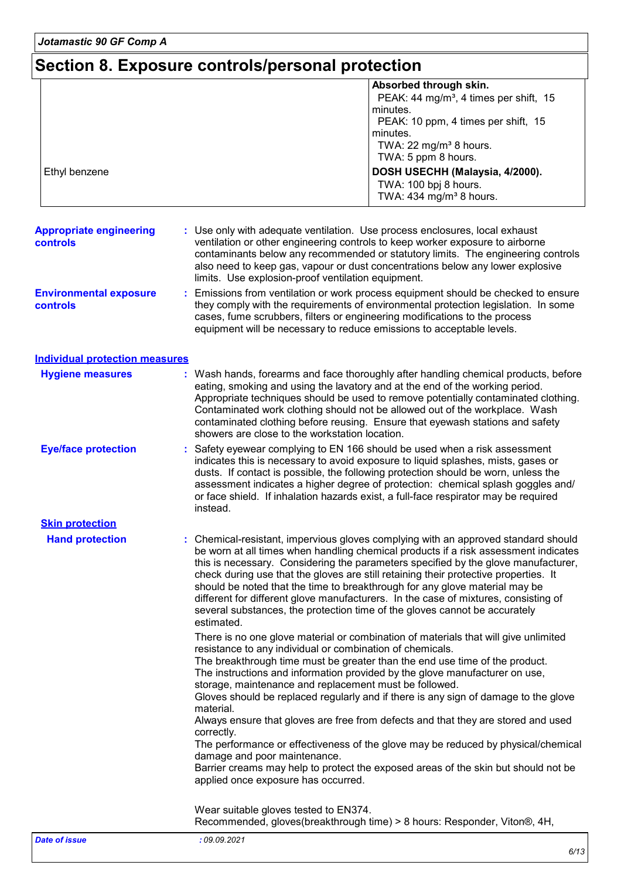*Jotamastic 90 GF Comp A*

# **Section 8. Exposure controls/personal protection**

| Ethyl benzene                                     | Absorbed through skin.<br>PEAK: 44 mg/m <sup>3</sup> , 4 times per shift, 15<br>minutes.<br>PEAK: 10 ppm, 4 times per shift, 15<br>minutes.<br>TWA: 22 mg/m <sup>3</sup> 8 hours.<br>TWA: 5 ppm 8 hours.<br>DOSH USECHH (Malaysia, 4/2000).                                                                                                                                                                                                                                                                                                                                                                             |
|---------------------------------------------------|-------------------------------------------------------------------------------------------------------------------------------------------------------------------------------------------------------------------------------------------------------------------------------------------------------------------------------------------------------------------------------------------------------------------------------------------------------------------------------------------------------------------------------------------------------------------------------------------------------------------------|
|                                                   | TWA: 100 bpj 8 hours.<br>TWA: 434 mg/m <sup>3</sup> 8 hours.                                                                                                                                                                                                                                                                                                                                                                                                                                                                                                                                                            |
| <b>Appropriate engineering</b><br><b>controls</b> | : Use only with adequate ventilation. Use process enclosures, local exhaust<br>ventilation or other engineering controls to keep worker exposure to airborne<br>contaminants below any recommended or statutory limits. The engineering controls<br>also need to keep gas, vapour or dust concentrations below any lower explosive<br>limits. Use explosion-proof ventilation equipment.                                                                                                                                                                                                                                |
| <b>Environmental exposure</b><br>controls         | Emissions from ventilation or work process equipment should be checked to ensure<br>they comply with the requirements of environmental protection legislation. In some<br>cases, fume scrubbers, filters or engineering modifications to the process<br>equipment will be necessary to reduce emissions to acceptable levels.                                                                                                                                                                                                                                                                                           |
| <b>Individual protection measures</b>             |                                                                                                                                                                                                                                                                                                                                                                                                                                                                                                                                                                                                                         |
| <b>Hygiene measures</b>                           | : Wash hands, forearms and face thoroughly after handling chemical products, before<br>eating, smoking and using the lavatory and at the end of the working period.<br>Appropriate techniques should be used to remove potentially contaminated clothing.<br>Contaminated work clothing should not be allowed out of the workplace. Wash<br>contaminated clothing before reusing. Ensure that eyewash stations and safety<br>showers are close to the workstation location.                                                                                                                                             |
| <b>Eye/face protection</b>                        | Safety eyewear complying to EN 166 should be used when a risk assessment<br>indicates this is necessary to avoid exposure to liquid splashes, mists, gases or<br>dusts. If contact is possible, the following protection should be worn, unless the<br>assessment indicates a higher degree of protection: chemical splash goggles and/<br>or face shield. If inhalation hazards exist, a full-face respirator may be required<br>instead.                                                                                                                                                                              |
| <b>Skin protection</b>                            |                                                                                                                                                                                                                                                                                                                                                                                                                                                                                                                                                                                                                         |
| <b>Hand protection</b>                            | Chemical-resistant, impervious gloves complying with an approved standard should<br>be worn at all times when handling chemical products if a risk assessment indicates<br>this is necessary. Considering the parameters specified by the glove manufacturer,<br>check during use that the gloves are still retaining their protective properties. It<br>should be noted that the time to breakthrough for any glove material may be<br>different for different glove manufacturers. In the case of mixtures, consisting of<br>several substances, the protection time of the gloves cannot be accurately<br>estimated. |
|                                                   | There is no one glove material or combination of materials that will give unlimited<br>resistance to any individual or combination of chemicals.<br>The breakthrough time must be greater than the end use time of the product.<br>The instructions and information provided by the glove manufacturer on use,<br>storage, maintenance and replacement must be followed.<br>Gloves should be replaced regularly and if there is any sign of damage to the glove<br>material.                                                                                                                                            |
|                                                   | Always ensure that gloves are free from defects and that they are stored and used<br>correctly.<br>The performance or effectiveness of the glove may be reduced by physical/chemical<br>damage and poor maintenance.                                                                                                                                                                                                                                                                                                                                                                                                    |
|                                                   |                                                                                                                                                                                                                                                                                                                                                                                                                                                                                                                                                                                                                         |
|                                                   | Barrier creams may help to protect the exposed areas of the skin but should not be<br>applied once exposure has occurred.                                                                                                                                                                                                                                                                                                                                                                                                                                                                                               |
|                                                   | Wear suitable gloves tested to EN374.<br>Recommended, gloves(breakthrough time) > 8 hours: Responder, Viton®, 4H,                                                                                                                                                                                                                                                                                                                                                                                                                                                                                                       |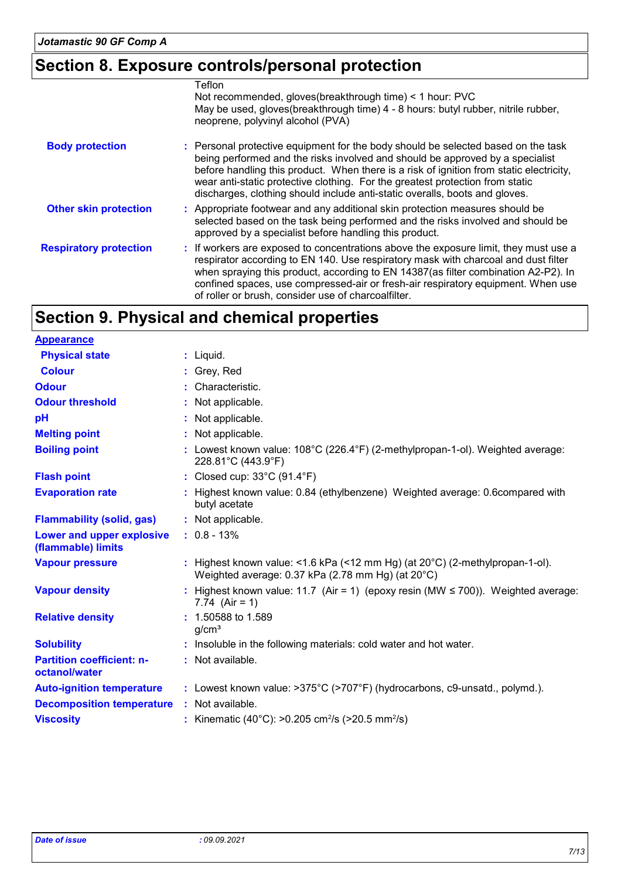# **Section 8. Exposure controls/personal protection**

|                               | Teflon<br>Not recommended, gloves (breakthrough time) < 1 hour: PVC<br>May be used, gloves(breakthrough time) 4 - 8 hours: butyl rubber, nitrile rubber,                                                                                                                                                                                                                                                                      |
|-------------------------------|-------------------------------------------------------------------------------------------------------------------------------------------------------------------------------------------------------------------------------------------------------------------------------------------------------------------------------------------------------------------------------------------------------------------------------|
|                               | neoprene, polyvinyl alcohol (PVA)                                                                                                                                                                                                                                                                                                                                                                                             |
| <b>Body protection</b>        | : Personal protective equipment for the body should be selected based on the task<br>being performed and the risks involved and should be approved by a specialist<br>before handling this product. When there is a risk of ignition from static electricity,<br>wear anti-static protective clothing. For the greatest protection from static<br>discharges, clothing should include anti-static overalls, boots and gloves. |
| <b>Other skin protection</b>  | : Appropriate footwear and any additional skin protection measures should be<br>selected based on the task being performed and the risks involved and should be<br>approved by a specialist before handling this product.                                                                                                                                                                                                     |
| <b>Respiratory protection</b> | : If workers are exposed to concentrations above the exposure limit, they must use a<br>respirator according to EN 140. Use respiratory mask with charcoal and dust filter<br>when spraying this product, according to EN 14387(as filter combination A2-P2). In<br>confined spaces, use compressed-air or fresh-air respiratory equipment. When use<br>of roller or brush, consider use of charcoalfilter.                   |

# **Section 9. Physical and chemical properties**

| <b>Appearance</b>                                 |                                                                                                                                             |
|---------------------------------------------------|---------------------------------------------------------------------------------------------------------------------------------------------|
| <b>Physical state</b>                             | $:$ Liquid.                                                                                                                                 |
| <b>Colour</b>                                     | : Grey, Red                                                                                                                                 |
| <b>Odour</b>                                      | : Characteristic.                                                                                                                           |
| <b>Odour threshold</b>                            | : Not applicable.                                                                                                                           |
| pH                                                | : Not applicable.                                                                                                                           |
| <b>Melting point</b>                              | : Not applicable.                                                                                                                           |
| <b>Boiling point</b>                              | : Lowest known value: $108^{\circ}$ C (226.4 $^{\circ}$ F) (2-methylpropan-1-ol). Weighted average:<br>228.81°C (443.9°F)                   |
| <b>Flash point</b>                                | : Closed cup: $33^{\circ}$ C (91.4 $^{\circ}$ F)                                                                                            |
| <b>Evaporation rate</b>                           | : Highest known value: 0.84 (ethylbenzene) Weighted average: 0.6compared with<br>butyl acetate                                              |
| <b>Flammability (solid, gas)</b>                  | : Not applicable.                                                                                                                           |
| Lower and upper explosive<br>(flammable) limits   | $: 0.8 - 13\%$                                                                                                                              |
| <b>Vapour pressure</b>                            | : Highest known value: <1.6 kPa (<12 mm Hg) (at $20^{\circ}$ C) (2-methylpropan-1-ol).<br>Weighted average: 0.37 kPa (2.78 mm Hg) (at 20°C) |
| <b>Vapour density</b>                             | : Highest known value: 11.7 (Air = 1) (epoxy resin (MW $\leq$ 700)). Weighted average:<br>7.74 $(Air = 1)$                                  |
| <b>Relative density</b>                           | $: 1.50588$ to 1.589<br>q/cm <sup>3</sup>                                                                                                   |
| <b>Solubility</b>                                 | : Insoluble in the following materials: cold water and hot water.                                                                           |
| <b>Partition coefficient: n-</b><br>octanol/water | : Not available.                                                                                                                            |
| <b>Auto-ignition temperature</b>                  | : Lowest known value: >375°C (>707°F) (hydrocarbons, c9-unsatd., polymd.).                                                                  |
| <b>Decomposition temperature</b>                  | : Not available.                                                                                                                            |
| <b>Viscosity</b>                                  | : Kinematic (40°C): >0.205 cm <sup>2</sup> /s (>20.5 mm <sup>2</sup> /s)                                                                    |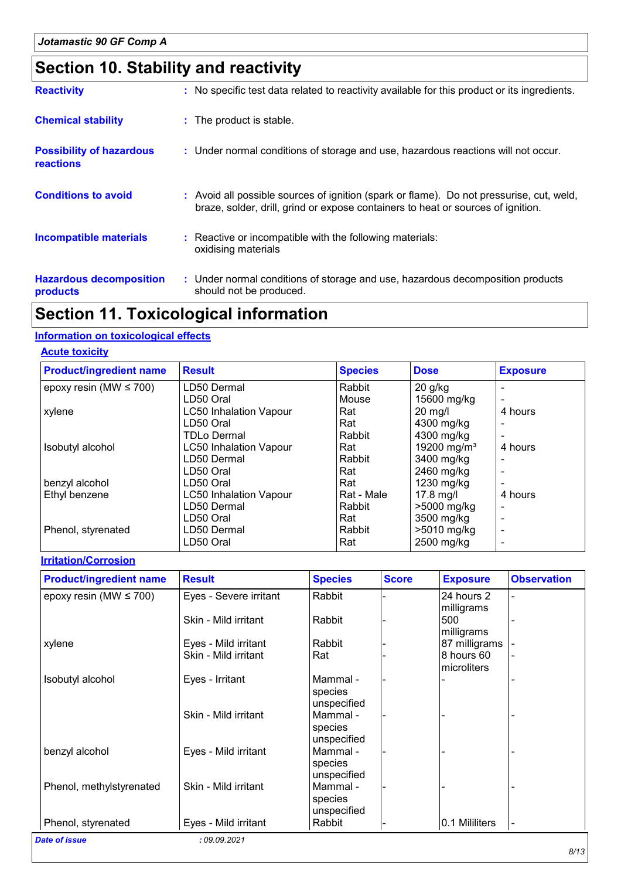# **Section 10. Stability and reactivity**

| <b>Reactivity</b>                            | : No specific test data related to reactivity available for this product or its ingredients.                                                                                 |
|----------------------------------------------|------------------------------------------------------------------------------------------------------------------------------------------------------------------------------|
| <b>Chemical stability</b>                    | : The product is stable.                                                                                                                                                     |
| <b>Possibility of hazardous</b><br>reactions | : Under normal conditions of storage and use, hazardous reactions will not occur.                                                                                            |
| <b>Conditions to avoid</b>                   | : Avoid all possible sources of ignition (spark or flame). Do not pressurise, cut, weld,<br>braze, solder, drill, grind or expose containers to heat or sources of ignition. |
| <b>Incompatible materials</b>                | : Reactive or incompatible with the following materials:<br>oxidising materials                                                                                              |
| <b>Hazardous decomposition</b><br>products   | : Under normal conditions of storage and use, hazardous decomposition products<br>should not be produced.                                                                    |

## **Section 11. Toxicological information**

#### **Information on toxicological effects**

#### **Acute toxicity**

| <b>Product/ingredient name</b> | <b>Result</b>                 | <b>Species</b> | <b>Dose</b>             | <b>Exposure</b> |
|--------------------------------|-------------------------------|----------------|-------------------------|-----------------|
| epoxy resin (MW $\leq$ 700)    | LD50 Dermal                   | Rabbit         | $20$ g/kg               |                 |
|                                | LD50 Oral                     | Mouse          | 15600 mg/kg             |                 |
| xylene                         | <b>LC50 Inhalation Vapour</b> | Rat            | $20$ mg/l               | 4 hours         |
|                                | LD50 Oral                     | Rat            | 4300 mg/kg              |                 |
|                                | <b>TDLo Dermal</b>            | Rabbit         | 4300 mg/kg              |                 |
| Isobutyl alcohol               | <b>LC50 Inhalation Vapour</b> | Rat            | 19200 mg/m <sup>3</sup> | 4 hours         |
|                                | LD50 Dermal                   | Rabbit         | 3400 mg/kg              |                 |
|                                | LD50 Oral                     | Rat            | 2460 mg/kg              |                 |
| benzyl alcohol                 | LD50 Oral                     | Rat            | 1230 mg/kg              |                 |
| Ethyl benzene                  | <b>LC50 Inhalation Vapour</b> | Rat - Male     | 17.8 mg/l               | 4 hours         |
|                                | LD50 Dermal                   | Rabbit         | >5000 mg/kg             |                 |
|                                | LD50 Oral                     | Rat            | 3500 mg/kg              |                 |
| Phenol, styrenated             | LD50 Dermal                   | Rabbit         | >5010 mg/kg             |                 |
|                                | LD50 Oral                     | Rat            | 2500 mg/kg              |                 |

#### **Irritation/Corrosion**

| <b>Product/ingredient name</b> | <b>Result</b>          | <b>Species</b> | <b>Score</b> | <b>Exposure</b> | <b>Observation</b> |
|--------------------------------|------------------------|----------------|--------------|-----------------|--------------------|
| epoxy resin (MW $\leq$ 700)    | Eyes - Severe irritant | Rabbit         |              | 24 hours 2      |                    |
|                                |                        |                |              | milligrams      |                    |
|                                | Skin - Mild irritant   | Rabbit         |              | 500             |                    |
|                                |                        |                |              | milligrams      |                    |
| xylene                         | Eyes - Mild irritant   | Rabbit         |              | 87 milligrams   |                    |
|                                | Skin - Mild irritant   | Rat            |              | 8 hours 60      |                    |
|                                |                        |                |              | microliters     |                    |
| Isobutyl alcohol               | Eyes - Irritant        | Mammal -       |              |                 |                    |
|                                |                        | species        |              |                 |                    |
|                                |                        | unspecified    |              |                 |                    |
|                                | Skin - Mild irritant   | Mammal -       |              |                 |                    |
|                                |                        | species        |              |                 |                    |
|                                |                        | unspecified    |              |                 |                    |
| benzyl alcohol                 | Eyes - Mild irritant   | Mammal -       |              |                 |                    |
|                                |                        | species        |              |                 |                    |
|                                |                        | unspecified    |              |                 |                    |
| Phenol, methylstyrenated       | Skin - Mild irritant   | Mammal -       |              |                 |                    |
|                                |                        | species        |              |                 |                    |
|                                |                        | unspecified    |              |                 |                    |
| Phenol, styrenated             | Eyes - Mild irritant   | Rabbit         |              | 0.1 Mililiters  | $\blacksquare$     |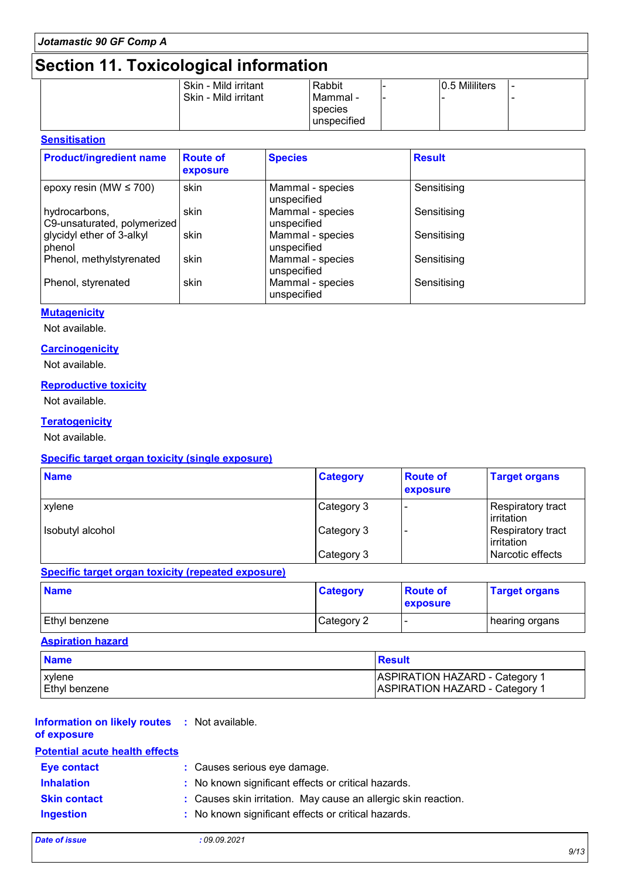# **Section 11. Toxicological information**

|  | Skin - Mild irritant | Rabbit      | 0.5 Mililiters |  |
|--|----------------------|-------------|----------------|--|
|  | Skin - Mild irritant | Mammal -    |                |  |
|  |                      | species     |                |  |
|  |                      | unspecified |                |  |
|  |                      |             |                |  |

#### **Sensitisation**

| <b>Product/ingredient name</b>               | <b>Route of</b><br>exposure | <b>Species</b>                  | <b>Result</b> |
|----------------------------------------------|-----------------------------|---------------------------------|---------------|
| epoxy resin (MW $\leq$ 700)                  | skin                        | Mammal - species<br>unspecified | Sensitising   |
| hydrocarbons,<br>C9-unsaturated, polymerized | skin                        | Mammal - species<br>unspecified | Sensitising   |
| glycidyl ether of 3-alkyl<br>phenol          | skin                        | Mammal - species<br>unspecified | Sensitising   |
| Phenol, methylstyrenated                     | skin                        | Mammal - species<br>unspecified | Sensitising   |
| Phenol, styrenated                           | skin                        | Mammal - species<br>unspecified | Sensitising   |

#### **Mutagenicity**

Not available.

#### **Carcinogenicity**

Not available.

#### **Reproductive toxicity**

Not available.

#### **Teratogenicity**

Not available.

#### **Specific target organ toxicity (single exposure)**

| <b>Name</b>      | <b>Category</b> | <b>Route of</b><br>exposure | <b>Target organs</b>            |
|------------------|-----------------|-----------------------------|---------------------------------|
| xylene           | Category 3      |                             | Respiratory tract<br>irritation |
| Isobutyl alcohol | Category 3      |                             | Respiratory tract<br>Irritation |
|                  | Category 3      |                             | Narcotic effects                |

#### **Specific target organ toxicity (repeated exposure)**

| <b>Name</b>          | <b>Category</b> | <b>Route of</b><br><b>exposure</b> | <b>Target organs</b> |
|----------------------|-----------------|------------------------------------|----------------------|
| <b>Ethyl benzene</b> | Category 2      | . .                                | ∣ hearing organs     |

#### **Aspiration hazard**

| <b>Name</b>          | <b>Besult</b>                         |
|----------------------|---------------------------------------|
| ∣xylene              | <b>ASPIRATION HAZARD - Category 1</b> |
| <b>Ethyl benzene</b> | <b>ASPIRATION HAZARD - Category 1</b> |

| <b>Information on likely routes : Not available.</b><br>of exposure |                                                                |
|---------------------------------------------------------------------|----------------------------------------------------------------|
| <b>Potential acute health effects</b>                               |                                                                |
| <b>Eye contact</b>                                                  | : Causes serious eye damage.                                   |
| <b>Inhalation</b>                                                   | : No known significant effects or critical hazards.            |
| <b>Skin contact</b>                                                 | : Causes skin irritation. May cause an allergic skin reaction. |
| <b>Ingestion</b>                                                    | : No known significant effects or critical hazards.            |
|                                                                     |                                                                |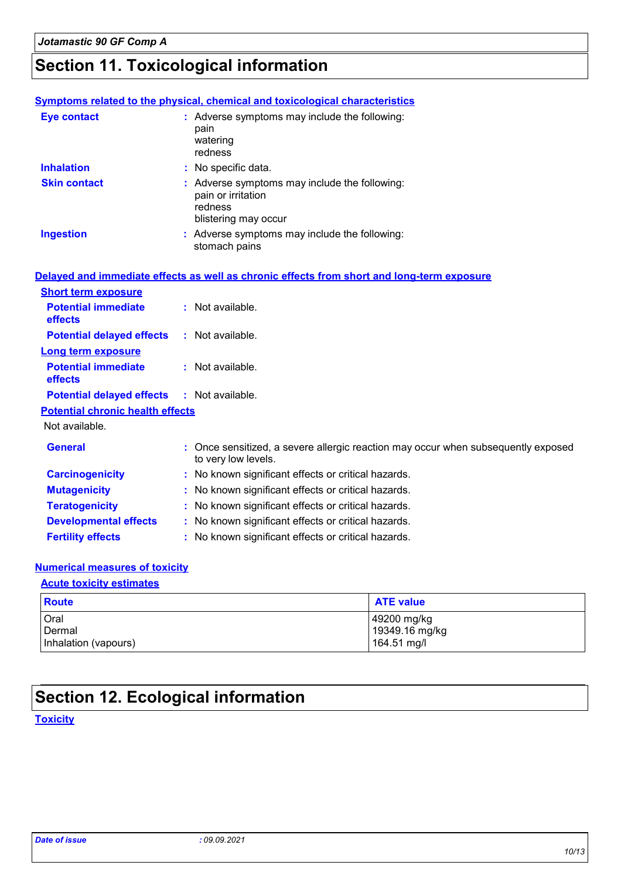# **Section 11. Toxicological information**

|                                         | <b>Symptoms related to the physical, chemical and toxicological characteristics</b>                      |
|-----------------------------------------|----------------------------------------------------------------------------------------------------------|
| <b>Eye contact</b>                      | : Adverse symptoms may include the following:<br>pain<br>watering<br>redness                             |
| <b>Inhalation</b>                       | : No specific data.                                                                                      |
| <b>Skin contact</b>                     | : Adverse symptoms may include the following:<br>pain or irritation<br>redness<br>blistering may occur   |
| <b>Ingestion</b>                        | : Adverse symptoms may include the following:<br>stomach pains                                           |
|                                         | Delayed and immediate effects as well as chronic effects from short and long-term exposure               |
| <b>Short term exposure</b>              |                                                                                                          |
| <b>Potential immediate</b><br>effects   | : Not available.                                                                                         |
| <b>Potential delayed effects</b>        | : Not available.                                                                                         |
| Long term exposure                      |                                                                                                          |
| <b>Potential immediate</b><br>effects   | : Not available.                                                                                         |
| <b>Potential delayed effects</b>        | : Not available.                                                                                         |
| <b>Potential chronic health effects</b> |                                                                                                          |
| Not available.                          |                                                                                                          |
| <b>General</b>                          | : Once sensitized, a severe allergic reaction may occur when subsequently exposed<br>to very low levels. |
| <b>Carcinogenicity</b>                  | : No known significant effects or critical hazards.                                                      |
| <b>Mutagenicity</b>                     | : No known significant effects or critical hazards.                                                      |
| <b>Teratogenicity</b>                   | : No known significant effects or critical hazards.                                                      |
| <b>Developmental effects</b>            | : No known significant effects or critical hazards.                                                      |
| <b>Fertility effects</b>                | : No known significant effects or critical hazards.                                                      |

#### **Numerical measures of toxicity**

#### **Acute toxicity estimates**

| Route                | <b>ATE value</b> |
|----------------------|------------------|
| Oral                 | 49200 mg/kg      |
| Dermal               | 19349.16 mg/kg   |
| Inhalation (vapours) | 164.51 mg/l      |

# **Section 12. Ecological information**

**Toxicity**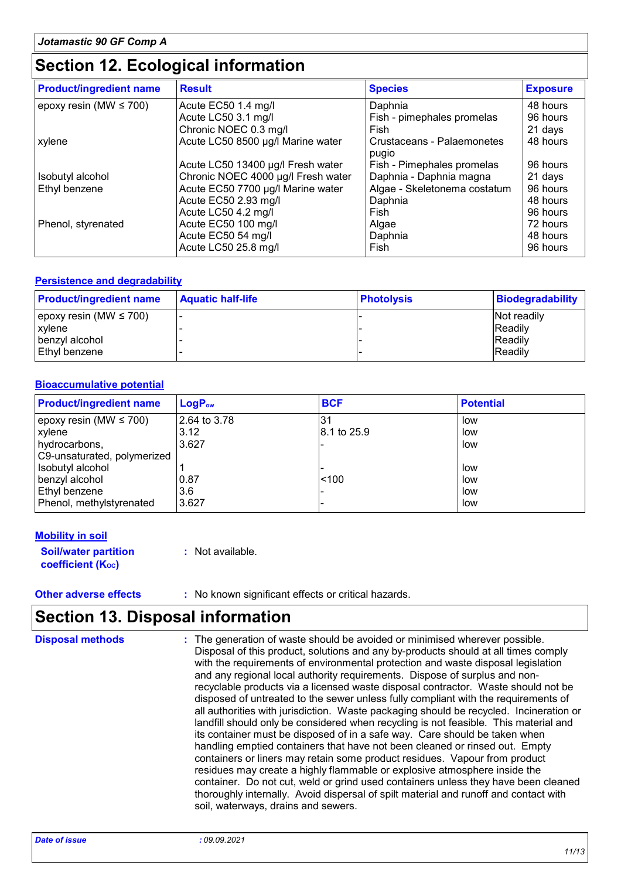### **Section 12. Ecological information**

| <b>Product/ingredient name</b> | <b>Result</b>                      | <b>Species</b>                      | <b>Exposure</b> |
|--------------------------------|------------------------------------|-------------------------------------|-----------------|
| epoxy resin (MW $\leq$ 700)    | Acute EC50 1.4 mg/l                | Daphnia                             | 48 hours        |
|                                | Acute LC50 3.1 mg/l                | Fish - pimephales promelas          | 96 hours        |
|                                | Chronic NOEC 0.3 mg/l              | Fish                                | 21 days         |
| xylene                         | Acute LC50 8500 µg/l Marine water  | Crustaceans - Palaemonetes<br>pugio | 48 hours        |
|                                | Acute LC50 13400 µg/l Fresh water  | Fish - Pimephales promelas          | 96 hours        |
| Isobutyl alcohol               | Chronic NOEC 4000 µg/l Fresh water | Daphnia - Daphnia magna             | 21 days         |
| Ethyl benzene                  | Acute EC50 7700 µg/l Marine water  | Algae - Skeletonema costatum        | 96 hours        |
|                                | Acute EC50 2.93 mg/l               | Daphnia                             | 48 hours        |
|                                | Acute LC50 4.2 mg/l                | Fish                                | 96 hours        |
| Phenol, styrenated             | Acute EC50 100 mg/l                | Algae                               | 72 hours        |
|                                | Acute EC50 54 mg/l                 | Daphnia                             | 48 hours        |
|                                | Acute LC50 25.8 mg/l               | Fish                                | 96 hours        |

#### **Persistence and degradability**

| <b>Product/ingredient name</b> | <b>Aquatic half-life</b> | <b>Photolysis</b> | <b>Biodegradability</b> |
|--------------------------------|--------------------------|-------------------|-------------------------|
| epoxy resin (MW $\leq$ 700)    |                          |                   | Not readily             |
| xylene                         |                          |                   | <b>IReadily</b>         |
| benzyl alcohol                 |                          |                   | <b>Readily</b>          |
| Ethyl benzene                  |                          |                   | <b>Readily</b>          |

#### **Bioaccumulative potential**

| <b>Product/ingredient name</b> | $LogP_{ow}$  | <b>BCF</b>  | <b>Potential</b> |
|--------------------------------|--------------|-------------|------------------|
| epoxy resin (MW $\leq$ 700)    | 2.64 to 3.78 |             | low              |
| <b>xylene</b>                  | 3.12         | 8.1 to 25.9 | low              |
| hydrocarbons,                  | 3.627        |             | low              |
| C9-unsaturated, polymerized    |              |             |                  |
| Isobutyl alcohol               |              |             | low              |
| benzyl alcohol                 | 0.87         | < 100       | low              |
| Ethyl benzene                  | 3.6          |             | low              |
| Phenol, methylstyrenated       | 3.627        |             | low              |

#### **Mobility in soil**

**Soil/water partition coefficient (Koc) :** Not available.

**Other adverse effects** : No known significant effects or critical hazards.

### **Section 13. Disposal information**

| <b>Disposal methods</b> | : The generation of waste should be avoided or minimised wherever possible.<br>Disposal of this product, solutions and any by-products should at all times comply<br>with the requirements of environmental protection and waste disposal legislation<br>and any regional local authority requirements. Dispose of surplus and non-<br>recyclable products via a licensed waste disposal contractor. Waste should not be<br>disposed of untreated to the sewer unless fully compliant with the requirements of<br>all authorities with jurisdiction. Waste packaging should be recycled. Incineration or<br>landfill should only be considered when recycling is not feasible. This material and<br>its container must be disposed of in a safe way. Care should be taken when<br>handling emptied containers that have not been cleaned or rinsed out. Empty<br>containers or liners may retain some product residues. Vapour from product<br>residues may create a highly flammable or explosive atmosphere inside the<br>container. Do not cut, weld or grind used containers unless they have been cleaned<br>thoroughly internally. Avoid dispersal of spilt material and runoff and contact with<br>soil, waterways, drains and sewers. |
|-------------------------|-----------------------------------------------------------------------------------------------------------------------------------------------------------------------------------------------------------------------------------------------------------------------------------------------------------------------------------------------------------------------------------------------------------------------------------------------------------------------------------------------------------------------------------------------------------------------------------------------------------------------------------------------------------------------------------------------------------------------------------------------------------------------------------------------------------------------------------------------------------------------------------------------------------------------------------------------------------------------------------------------------------------------------------------------------------------------------------------------------------------------------------------------------------------------------------------------------------------------------------------------|
|-------------------------|-----------------------------------------------------------------------------------------------------------------------------------------------------------------------------------------------------------------------------------------------------------------------------------------------------------------------------------------------------------------------------------------------------------------------------------------------------------------------------------------------------------------------------------------------------------------------------------------------------------------------------------------------------------------------------------------------------------------------------------------------------------------------------------------------------------------------------------------------------------------------------------------------------------------------------------------------------------------------------------------------------------------------------------------------------------------------------------------------------------------------------------------------------------------------------------------------------------------------------------------------|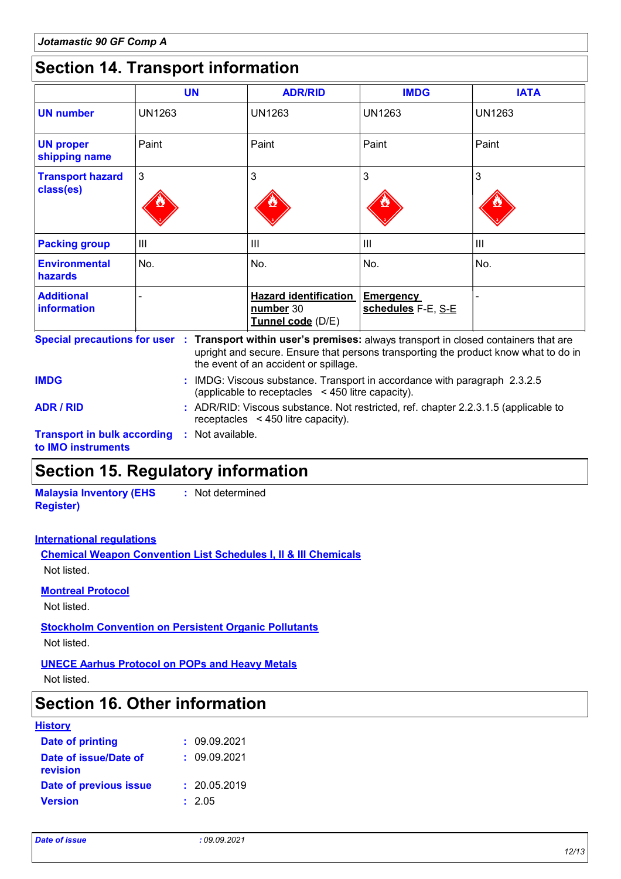### **Section 14. Transport information**

|                                        | <b>UN</b>     | <b>ADR/RID</b>                                                 | <b>IMDG</b>                            | <b>IATA</b>    |
|----------------------------------------|---------------|----------------------------------------------------------------|----------------------------------------|----------------|
| <b>UN number</b>                       | <b>UN1263</b> | <b>UN1263</b>                                                  | <b>UN1263</b>                          | <b>UN1263</b>  |
| <b>UN proper</b><br>shipping name      | Paint         | Paint                                                          | Paint                                  | Paint          |
| <b>Transport hazard</b><br>class(es)   | 3             | 3                                                              | 3                                      | 3              |
| <b>Packing group</b>                   | III           | III                                                            | $\mathbf{III}$                         | $\mathbf{III}$ |
| <b>Environmental</b><br><b>hazards</b> | No.           | No.                                                            | No.                                    | No.            |
| <b>Additional</b><br>information       |               | <b>Hazard identification</b><br>number 30<br>Tunnel code (D/E) | <b>Emergency</b><br>schedules F-E, S-E |                |

**Transport in bulk according :** Not available. **to IMO instruments** upright and secure. Ensure that persons transporting the product know what to do in the event of an accident or spillage. IMDG: Viscous substance. Transport in accordance with paragraph 2.3.2.5 **IMDG :** (applicable to receptacles < 450 litre capacity). **ADR / RID :** ADR/RID: Viscous substance. Not restricted, ref. chapter 2.2.3.1.5 (applicable to receptacles < 450 litre capacity).

### **Section 15. Regulatory information**

**Malaysia Inventory (EHS Register) :** Not determined

#### **International regulations**

**Chemical Weapon Convention List Schedules I, II & III Chemicals** Not listed.

#### **Montreal Protocol**

Not listed.

**Stockholm Convention on Persistent Organic Pollutants**

Not listed.

#### **UNECE Aarhus Protocol on POPs and Heavy Metals**

Not listed.

### **Section 16. Other information**

#### **History**

| Date of printing                  | : 09.09.2021 |
|-----------------------------------|--------------|
| Date of issue/Date of<br>revision | : 09.09.2021 |
| Date of previous issue            | : 20.05.2019 |
| <b>Version</b>                    | : 2.05       |